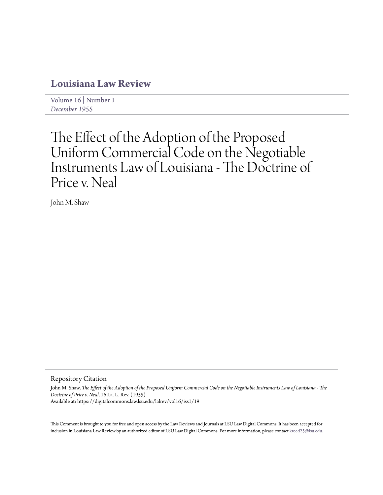# **[Louisiana Law Review](https://digitalcommons.law.lsu.edu/lalrev)**

[Volume 16](https://digitalcommons.law.lsu.edu/lalrev/vol16) | [Number 1](https://digitalcommons.law.lsu.edu/lalrev/vol16/iss1) *[December 1955](https://digitalcommons.law.lsu.edu/lalrev/vol16/iss1)*

# The Effect of the Adoption of the Proposed Uniform Commercial Code on the Negotiable Instruments Law of Louisiana - The Doctrine of Price v. Neal

John M. Shaw

## Repository Citation

John M. Shaw, *The Effect of the Adoption of the Proposed Uniform Commercial Code on the Negotiable Instruments Law of Louisiana - The Doctrine of Price v. Neal*, 16 La. L. Rev. (1955) Available at: https://digitalcommons.law.lsu.edu/lalrev/vol16/iss1/19

This Comment is brought to you for free and open access by the Law Reviews and Journals at LSU Law Digital Commons. It has been accepted for inclusion in Louisiana Law Review by an authorized editor of LSU Law Digital Commons. For more information, please contact [kreed25@lsu.edu](mailto:kreed25@lsu.edu).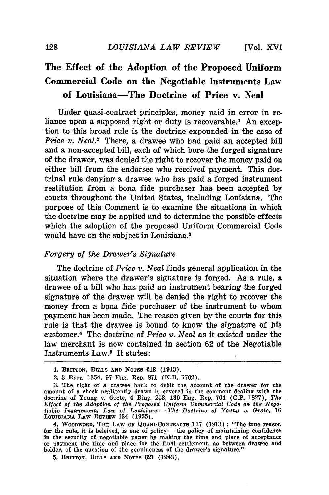## **The Effect of the Adoption of the Proposed Uniform Commercial Code on the Negotiable Instruments Law of Louisiana-The Doctrine of Price v. Neal**

**Under** quasi-contract principles, money paid in error in reliance upon a supposed right or duty is recoverable.<sup>1</sup> An exception to this broad rule is the doctrine expounded in the case of *Price v. Neal.*<sup>2</sup> There, a drawee who had paid an accepted bill and a non-accepted bill, each of which bore the forged signature of the drawer, was denied the right to recover the money paid on either bill from the endorsee who received payment. This doctrinal rule denying a drawee who has paid a forged instrument restitution from a bona fide purchaser has been accepted by courts throughout the United States, including Louisiana. The purpose of this Comment is to examine the situations in which the doctrine may be applied and to determine the possible effects which the adoption of the proposed Uniform Commercial Code would have on the subject in Louisiana.8

### *Forgery of the Drawer's Signature*

The doctrine of *Price v. Neal* finds general application in the situation where the drawer's signature is forged. As a rule, a drawee of a bill who has paid an instrument bearing the forged signature of the drawer will be denied the right to recover the money from a bona fide purchaser of the instrument to whom payment has been made. The reason given by the courts for this rule is that the drawee is bound to know the signature of his customer.4 The doctrine of *Price v. Neal* as it existed under the law merchant is now contained in section 62 of the Negotiable Instruments Law.5 It states:

4. WOODWORD, **THE** LAW OF QUAsI-CONTRACTS 137 (1913): "The true reason for the rule, it is beleived, is one of policy — the policy of maintaining confidence **in** the security of negotiable paper by making the time and place of acceptance or payment the time and place for the final settlement, as between drawee and holder, of the question of the genuineness of the drawer's signature."

5. BRITTON, **BILLs AND NOTES** 621 (1943).

**<sup>1.</sup>** BRITTON, BILLS **AND NOTES 613** (1943).

<sup>2.</sup> **3** Burr. 1354, 97 Eng. Rep. **871** (K.B. **1762).**

**<sup>3.</sup>** The right of a drawee bank to debit the **account** of the drawer for the amount of a **check** negligently drawn is covered **in** the comment dealing with the doctrine of Young v. Grote, 4 Bing. **253, 130** Eng. Rep. 764 **(C.P. 1827),** *The Effect of the Adoption of the Proposed Uniform Commercial Code on the Negotiable Instruments Law of Louisiana- The Doctrine of Young v. Grote,* **16** LOUISIANA LAW REVIEW 134 (1955).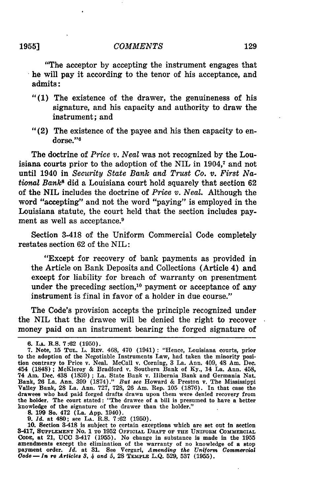#### *COMMENTS*

"The acceptor by accepting the instrument engages that he will pay it according to the tenor of his acceptance, and admits:

- "(1) The existence of the drawer, the genuineness of his signature, and his capacity and authority to draw the instrument; and
- "(2) The existence of the payee and his then capacity to endorse."<sup>6</sup>

The doctrine of *Price v. Neal* was not recognized **by** the Louisiana courts prior to the adoption of the NIL in **1904,7** and not until 1940 in *Security State Bank and Trust Co. v. First National Banks* did a Louisiana court hold squarely that section **<sup>62</sup>** of the NIL includes the doctrine of *Price v. Neal.* Although the word "accepting" and not the word "paying" is employed in the Louisiana statute, the court held that the section includes payment as well as acceptance.<sup>9</sup>

Section 3-418 of the Uniform Commercial Code completely restates section **62** of the NIL:

"Except for recovery of bank payments as provided in the Article on Bank Deposits and Collections (Article 4) and except for liability for breach of warranty on presentment under the preceding section,<sup>10</sup> payment or acceptance of any instrument is final in favor of a holder in due course."

The Code's provision accepts the principle recognized under the NIL that the drawee will be denied the right to recover money paid on an instrument bearing the forged signature of

**8. 199 So. 472 (La. App. 1940).**<br>9. *Id.* at 480; see La. R.S. 7:62 (1950).<br>10. Section 3-418 is subject to certain exceptions which are set out in section 3-417, **SUPPLEMENT** No. **1 TO** 1952 **OFFICIAL DRAFT OF THE UNIFORM COMMERCIAL CODE,** at 21, **UCC** 3-417 **(1955).** No change in substance is made in the **1955** amendments except the elimination of the warranty of no knowledge of a stop payment order. *Id.* at **31.** See Vergari, *Amending the Uniform Commercial Code-In re Articles 3,* 4 *and 5,* **28 TEMPLE L.Q. 529, 537 (1955).**

**<sup>6.</sup>** *LA.* R.S. **7:62 (1950).**

**<sup>7.</sup>** Note, **15 TUL.** L. **REV.** 468, 470 (1941): "Hence, Louisiana courts, prior to the adoption of the Negotiable Instruments Law, had taken the minority position contrary to Price v. Neal. McCall v. Corning, **3** La. Ann. 409, 48 Am. Dec. 454 **(1848) ;** McKleroy **&** Bradford v. Southern Bank of **Ky.,** 14 La. Ann. 458, 74 Am. Dec. 438 **(1859) ;** La. State Bank v. Hibernia Bank and Germania Nat. Bank, **26** La. Ann. **399 (1874)."** *But see* Howard **&** Preston v. The Mississippi Valley Bank, **28** La. Ann. **727, 728,** 26 Am. Rep. **105 (1876). In** that case the drawees who had paid forged drafts drawn upon them were denied recovery from the holder. The court stated: "The drawee of a bill is presumed to have a better knowledge of the signature of the drawer than the holder."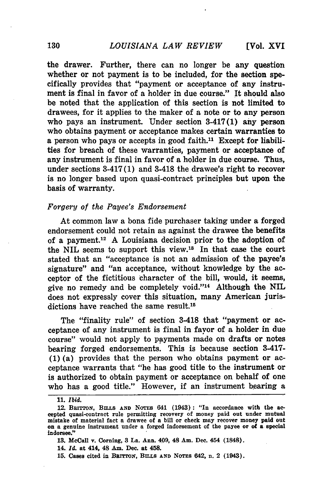the drawer. Further, there can no longer be any question whether or not payment is to be included, for the section specifically provides that "payment or acceptance of any instrument is final in favor of a holder in due course." It should also be noted that the application of this section is not limited to drawees, for it applies to the maker of a note or to any person who pays an instrument. Under section 3-417(1) any person who obtains payment or acceptance makes certain warranties to a person who pays or accepts in good faith.<sup>11</sup> Except for liabilities for breach of these warranties, payment or acceptance of any instrument is final in favor of a holder in due course. Thus, under sections 3-417(1) and 3-418 the drawee's right to recover is no longer based upon quasi-contract principles but upon the basis of warranty.

#### *Forgery of the Payee's Endorsement*

At common law a bona fide purchaser taking under a forged endorsement could not retain as against the drawee the benefits of a payment.12 A Louisiana decision prior to the adoption of the NIL seems to support this view. $18$  In that case the court stated that an "acceptance is not an admission of the payee's signature" and "an acceptance, without knowledge by the acceptor of the fictitious character of the bill, would, it seems, give no remedy and be completely void."<sup>14</sup> Although the NIL does not expressly cover this situation, many American jurisdictions have reached the same result.<sup>15</sup>

The "finality rule" of section 3-418 that "payment or acceptance of any instrument is final in favor of a holder in due course" would not apply to payments made on drafts or notes bearing forged endorsements. This is because section 3-417- **(1)** (a) provides that the person who obtains payment or acceptance warrants that "he has good title to the instrument or is authorized to obtain payment or acceptance on behalf of one who has a good title." However, if an instrument bearing a

**15.** Cases cited in BRTroN, **BiLLs AND NoTEs** 642, n. 2 (1943).

**<sup>11.</sup>** *Ibid.*

<sup>12.</sup> **BRITTON, BILLS AND NOTES 641 (1943): "In accordance with the ac**cepted quasi-contract rule permitting recovery of money paid out under mutual mistake of material fact a drawee of a bill or check may recover money paid out on a genuine instrument under a forged indorsement of the payee or of a special indorsee."

**<sup>13.</sup>** McCall v. Corning, **3 La.** Ann. 409, 48 Am. Dec. 454 (1848).

<sup>14.</sup> *Id.* at 414, 48 Am. Dec. at 458.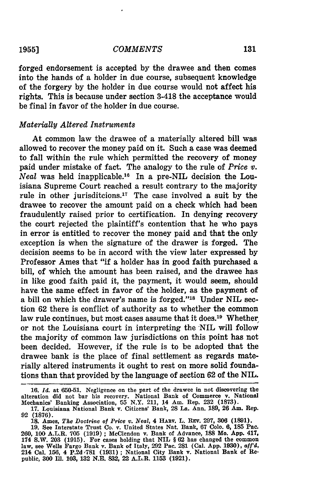**19551**

#### *COMMENTS*

forged endorsement is accepted **by** the drawee and then comes into the hands of a holder in due course, subsequent knowledge of the forgery by the holder in due course would not affect his rights. This is because under section 3-418 the acceptance would be final in favor of the holder in due course.

#### *Materially Altered Instruments*

At common law the drawee of a materially altered bill was allowed to recover the money paid on it. Such a case was deemed to fall within the rule which permitted the recovery of money paid under mistake of fact. The analogy to the rule of *Price v. Neal* was held inapplicable.<sup>16</sup> In a pre-NIL decision the Louisiana Supreme Court reached a result contrary to the majority rule in other jurisditcions.<sup>17</sup> The case involved a suit by the drawee to recover the amount paid on a check which had been fraudulently raised prior to certification. In denying recovery the court rejected the plaintiff's contention that he who pays in error is entitled to recover the money paid and that the only exception is when the signature of the drawer is forged. The decision seems to be in accord with the view later expressed by Professor Ames that "if a holder has in good faith purchased a bill, of which the amount has been raised, and the drawee has in like good faith paid it, the payment, it would seem, should have the same effect in favor of the holder, as the payment of a bill on which the drawer's name is forged."<sup>18</sup> Under NIL section **62** there is conflict of authority as to whether the common law rule continues, but most cases assume that it does.<sup>19</sup> Whether or not the Louisiana court in interpreting the NIL will follow the majority of common law jurisdictions on this point has not been decided. However, if the rule is to be adopted that the drawee bank is the place of final settlement as regards materially altered instruments it ought to rest on more solid foundations than that provided **by** the language of section **62** of the NIL.

**<sup>16.</sup>** *Id.* at **650-51.** Negligence on the part of the drawee in not discovering the alteration did not bar his recovery. National Bank of Commerce v. National Mechanics' Banking Association, **55** N.Y. 211, 14 Am. Rep. **232 (1873).**

**<sup>17.</sup>** Louisiana National Bank v. Citizens' Bank, **28** La. Ann. **189, 26** Am. Rep. **92 (1876).**

**<sup>18.</sup>** Ames, *The Doctrine of Price v. Neal,* 4 **HABv.** L. Riv. **297, 306 (1891).**

<sup>19.</sup> See Interstate Trust Co. v. United States Nat. Bank, **67** Colo. **6, 185** Pac. 260, **100 A.L.R.** 705 (1919) ; McClendon v. Bank of Advance, **188** Mo. **App.** 417, 174 S.W. 203 **(1915).** For cases holding that **NIL § 62** has changed the common law, see Wells Fargo Bank v. Bank of Italy, **292** Pac. 281 (Cal. App. **1930),** *aff'd,* 214 Cal. **156,** 4 P.2d **,781 (1931) ;** National City Bank v. National Bank of Republic, **300 Ill.** 103, **132** N.E. **832,** 22 A.L.R. 1153 **(1921).**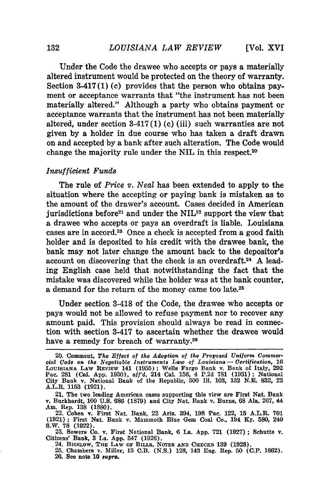Under the Code the drawee who accepts or pays a materially altered instrument would be protected on the theory of warranty. Section 3-417(1)(c) provides that the person who obtains payment or acceptance warrants that "the instrument has not been materially altered." Although a party who obtains payment or acceptance warrants that the instrument has not been materially altered, under section 3-417(1) (c) (iii) such warranties are not given by a holder in due course who has taken a draft drawn on and accepted by a bank after such alteration. The Code would change the majority rule under the NIL in this respect.<sup>20</sup>

#### *Insufficient Funds*

The rule of *Price v. Neal* has been extended to apply to the situation where the accepting or paying bank is mistaken as to the amount of the drawer's account. Cases decided in American jurisdictions before<sup>21</sup> and under the  $NIL^{22}$  support the view that a drawee who accepts or pays an overdraft is liable. Louisiana cases are in accord.23 Once a check is accepted from a good faith holder and is deposited to his credit with the drawee bank, the bank may not later change the amount back to the depositor's account on discovering that the check is an overdraft.<sup>24</sup> A leading English case held that notwithstanding the fact that the mistake was discovered while the holder was at the bank counter, a demand for the return of the money came too late.<sup>25</sup>

Under section 3-418 of the Code, the drawee who accepts or pays would not be allowed to refuse payment nor to recover any amount paid. This provision should always be read in connection with section 3-417 to ascertain whether the drawee would have a remedy for breach of warranty.<sup>26</sup>

Citizens' Bank, **3** La. **App.** 547 **(1926).** .24. BIGELOW, **THE** LAW **OF BILLS,** NOTES **AND** CHECKS **139 (1928).**

<sup>20.</sup> Comment, *The Effect of the Adoption of the Proposed Uniform Commercial Code on the Negotiable Instruments Law of Louisiana* **-** *Certification,* **16** LOUISIANA LAW REviEw 141 **(1955);** Wells Fargo Bank v. Bank of Italy, **292** Pac. **281** (Cal. **App. 1930),** *aff'd,* 214 Cal. **156,** 4 **P.2d 781 (1931);** National City Bank v. National Bank of the Republic, **300 Ill. 103, 132 N.E. 832,** 22 A.L.R. **1153 (1921).**

<sup>21.</sup> The two leading American cases supporting this view are First Nat. Bank v. Burkhardt, **100 U.S. 686 (1879)** and City Nat. Bank v. Burns, **68** Ala. **267,** 44 Am. Rep. **138 (1880).**

<sup>22.</sup> Cohen v. First Nat. Bank, 22 Ariz. 394, **198** Pac. 122, **15** A.L.R. **701 (1921);** First Nat. Bank v. Mammoth Blue Gem Coal Co., 194 **Ky. 580,** 240 S.W. **78 (1922). 23.** Sowers Co. v. First National Bank, **6** La. **App. 721 (1927);** Schutte v.

**<sup>25.</sup>** Chambers v. Miller, **13** C.B. **(N.S.) 128,** 143 Eng. Rep. **50 (C.P. 1862). 26.** See note **10** *supra.*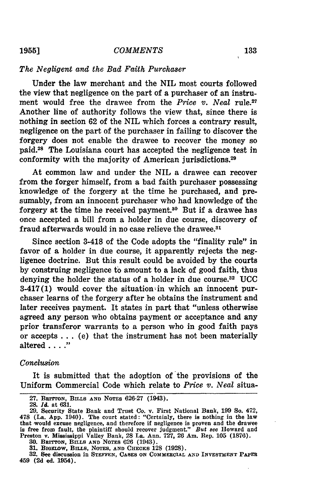#### *COMMENTS*

#### *The Negligent and the Bad Faith Purchaser*

Under the law merchant and the NIL most courts followed the view that negligence on the part of a purchaser of an instrument would free the drawee from the *Price v. Neal* rule.<sup>27</sup> Another line of authority follows the view that, since there is nothing in section 62 of the NIL which forces a contrary result, negligence on the part of the purchaser in failing to discover the forgery does not enable the drawee to recover the money so paid.<sup>28</sup> The Louisiana court has accepted the negligence test in conformity with the majority of American jurisdictions.<sup>29</sup>

At common law and under the NIL a drawee can recover from the forger himself, from a bad faith purchaser possessing knowledge of the forgery at the time he purchased, and presumably, from an innocent purchaser who had knowledge of the forgery at the time he received payment.30 But if a drawee has once accepted a bill from a holder in due course, discovery of fraud afterwards would in no case relieve the drawee.<sup>31</sup>

Since section 3-418 of the Code adopts the "finality rule" in favor of a holder in due course, it apparently rejects the negligence doctrine. But this result could be avoided by the courts by construing negligence to amount to a lack of good faith, thus denying the holder the status of a holder in due course.<sup>32</sup> UCC  $3-417(1)$  would cover the situation in which an innocent purchaser learns of the forgery after he obtains the instrument and later receives payment. It states in part that "unless otherwise agreed any person who obtains payment or acceptance and any prior transferor warrants to a person who in good faith pays or accepts **...** (e) that the instrument has not been materially altered . **.. ."**

#### *Conclusion*

It is submitted that the adoption of the provisions of the Uniform Commercial Code which relate to *Price v. Neal* situa-

**<sup>27.</sup> BurrToN, BILS AND NOTES 626-27** (1943).

**<sup>28.</sup>** *Id.* at **631.**

**<sup>29.</sup>** Security State Bank and Trust Co. v. First National Bank, **199** So. 472, 478 (La. **App.** 1940). The court stated: "Certainly, there is nothing in the law that rwould excuse negligence, and therefore if negligence is proven and the drawee is free from fault, the plaintiff should recover judgment." *But* see Howard and Preston v. Mississippi Valley Bank, **28** La. Ann. **727, 26** Am. Rep. **105 (1876). 30. BEITTON, BILLS AND NOTES 626** (1943).

**<sup>30.</sup> BEITTON, BILLS AND NOTES 626 (1943).**<br> **31. BIGELOW, BILLS, NOTES, AND CHECKS 128 (1928).**<br> **32. See discussion in STEFFEN, CASES ON COMMERCIAL AND INVESTMENT PAPER** 459 **(2d** ed. 1954).